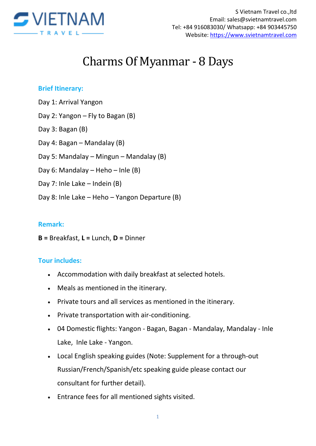

# Charms Of Myanmar - 8 Days

#### **Brief Itinerary:**

- Day 1: Arrival Yangon
- Day 2: Yangon Fly to Bagan (B)
- Day 3: Bagan (B)
- Day 4: Bagan Mandalay (B)
- Day 5: Mandalay Mingun Mandalay (B)
- Day 6: Mandalay Heho Inle (B)
- Day 7: Inle Lake Indein (B)
- Day 8: Inle Lake Heho Yangon Departure (B)

## **Remark:**

**B =** Breakfast, **L =** Lunch, **D =** Dinner

## **Tour includes:**

- Accommodation with daily breakfast at selected hotels.
- Meals as mentioned in the itinerary.
- Private tours and all services as mentioned in the itinerary.
- Private transportation with air-conditioning.
- 04 Domestic flights: Yangon Bagan, Bagan Mandalay, Mandalay Inle Lake, Inle Lake - Yangon.
- Local English speaking guides (Note: Supplement for a through-out Russian/French/Spanish/etc speaking guide please contact our consultant for further detail).
- Entrance fees for all mentioned sights visited.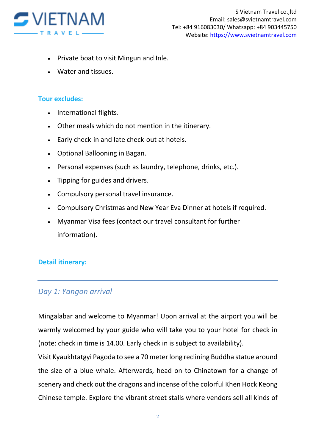

- Private boat to visit Mingun and Inle.
- Water and tissues.

## **Tour excludes:**

- International flights.
- Other meals which do not mention in the itinerary.
- Early check-in and late check-out at hotels.
- Optional Ballooning in Bagan.
- Personal expenses (such as laundry, telephone, drinks, etc.).
- Tipping for guides and drivers.
- Compulsory personal travel insurance.
- Compulsory Christmas and New Year Eva Dinner at hotels if required.
- Myanmar Visa fees (contact our travel consultant for further information).

## **Detail itinerary:**

# *Day 1: Yangon arrival*

Mingalabar and welcome to Myanmar! Upon arrival at the airport you will be warmly welcomed by your guide who will take you to your hotel for check in (note: check in time is 14.00. Early check in is subject to availability).

Visit Kyaukhtatgyi Pagoda to see a 70 meter long reclining Buddha statue around the size of a blue whale. Afterwards, head on to Chinatown for a change of scenery and check out the dragons and incense of the colorful Khen Hock Keong Chinese temple. Explore the vibrant street stalls where vendors sell all kinds of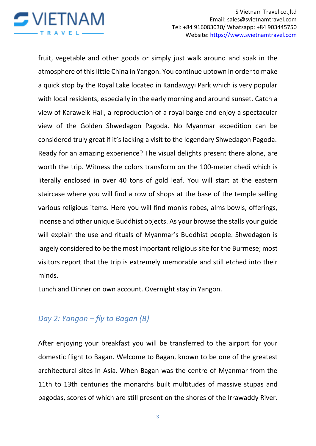

fruit, vegetable and other goods or simply just walk around and soak in the atmosphere of this little China in Yangon. You continue uptown in order to make a quick stop by the Royal Lake located in Kandawgyi Park which is very popular with local residents, especially in the early morning and around sunset. Catch a view of Karaweik Hall, a reproduction of a royal barge and enjoy a spectacular view of the Golden Shwedagon Pagoda. No Myanmar expedition can be considered truly great if it's lacking a visit to the legendary Shwedagon Pagoda. Ready for an amazing experience? The visual delights present there alone, are worth the trip. Witness the colors transform on the 100-meter chedi which is literally enclosed in over 40 tons of gold leaf. You will start at the eastern staircase where you will find a row of shops at the base of the temple selling various religious items. Here you will find monks robes, alms bowls, offerings, incense and other unique Buddhist objects. As your browse the stalls your guide will explain the use and rituals of Myanmar's Buddhist people. Shwedagon is largely considered to be the most important religious site for the Burmese; most visitors report that the trip is extremely memorable and still etched into their minds.

Lunch and Dinner on own account. Overnight stay in Yangon.

# *Day 2: Yangon – fly to Bagan (B)*

After enjoying your breakfast you will be transferred to the airport for your domestic flight to Bagan. Welcome to Bagan, known to be one of the greatest architectural sites in Asia. When Bagan was the centre of Myanmar from the 11th to 13th centuries the monarchs built multitudes of massive stupas and pagodas, scores of which are still present on the shores of the Irrawaddy River.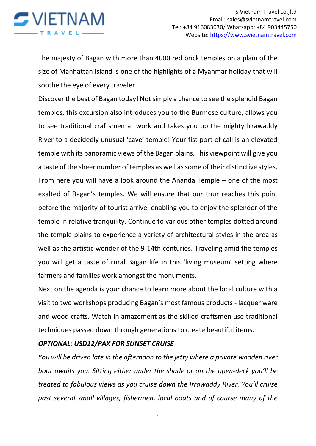

The majesty of Bagan with more than 4000 red brick temples on a plain of the size of Manhattan Island is one of the highlights of a Myanmar holiday that will soothe the eye of every traveler.

Discover the best of Bagan today! Not simply a chance to see the splendid Bagan temples, this excursion also introduces you to the Burmese culture, allows you to see traditional craftsmen at work and takes you up the mighty Irrawaddy River to a decidedly unusual 'cave' temple! Your fist port of call is an elevated temple with its panoramic views of the Bagan plains. This viewpoint will give you a taste of the sheer number of temples as well as some of their distinctive styles. From here you will have a look around the Ananda Temple – one of the most exalted of Bagan's temples. We will ensure that our tour reaches this point before the majority of tourist arrive, enabling you to enjoy the splendor of the temple in relative tranquility. Continue to various other temples dotted around the temple plains to experience a variety of architectural styles in the area as well as the artistic wonder of the 9-14th centuries. Traveling amid the temples you will get a taste of rural Bagan life in this 'living museum' setting where farmers and families work amongst the monuments.

Next on the agenda is your chance to learn more about the local culture with a visit to two workshops producing Bagan's most famous products - lacquer ware and wood crafts. Watch in amazement as the skilled craftsmen use traditional techniques passed down through generations to create beautiful items.

#### *OPTIONAL: USD12/PAX FOR SUNSET CRUISE*

*You will be driven late in the afternoon to the jetty where a private wooden river boat awaits you. Sitting either under the shade or on the open-deck you'll be treated to fabulous views as you cruise down the Irrawaddy River. You'll cruise past several small villages, fishermen, local boats and of course many of the*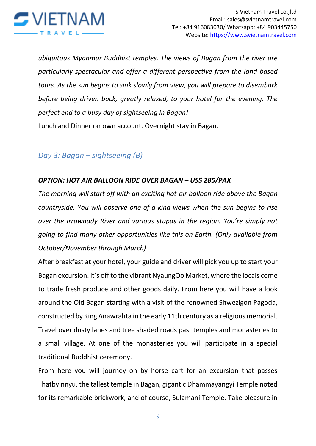

*ubiquitous Myanmar Buddhist temples. The views of Bagan from the river are particularly spectacular and offer a different perspective from the land based tours. As the sun begins to sink slowly from view, you will prepare to disembark before being driven back, greatly relaxed, to your hotel for the evening. The perfect end to a busy day of sightseeing in Bagan!*

Lunch and Dinner on own account. Overnight stay in Bagan.

*Day 3: Bagan – sightseeing (B)*

## *OPTION: HOT AIR BALLOON RIDE OVER BAGAN – US\$ 285/PAX*

*The morning will start off with an exciting hot-air balloon ride above the Bagan countryside. You will observe one-of-a-kind views when the sun begins to rise over the Irrawaddy River and various stupas in the region. You're simply not going to find many other opportunities like this on Earth. (Only available from October/November through March)*

After breakfast at your hotel, your guide and driver will pick you up to start your Bagan excursion. It's off to the vibrant NyaungOo Market, where the locals come to trade fresh produce and other goods daily. From here you will have a look around the Old Bagan starting with a visit of the renowned Shwezigon Pagoda, constructed by King Anawrahta in the early 11th century as a religious memorial. Travel over dusty lanes and tree shaded roads past temples and monasteries to a small village. At one of the monasteries you will participate in a special traditional Buddhist ceremony.

From here you will journey on by horse cart for an excursion that passes Thatbyinnyu, the tallest temple in Bagan, gigantic Dhammayangyi Temple noted for its remarkable brickwork, and of course, Sulamani Temple. Take pleasure in

5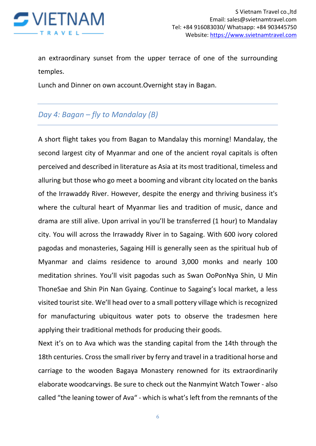

an extraordinary sunset from the upper terrace of one of the surrounding temples.

Lunch and Dinner on own account.Overnight stay in Bagan.

# *Day 4: Bagan – fly to Mandalay (B)*

A short flight takes you from Bagan to Mandalay this morning! Mandalay, the second largest city of Myanmar and one of the ancient royal capitals is often perceived and described in literature as Asia at its most traditional, timeless and alluring but those who go meet a booming and vibrant city located on the banks of the Irrawaddy River. However, despite the energy and thriving business it's where the cultural heart of Myanmar lies and tradition of music, dance and drama are still alive. Upon arrival in you'll be transferred (1 hour) to Mandalay city. You will across the Irrawaddy River in to Sagaing. With 600 ivory colored pagodas and monasteries, Sagaing Hill is generally seen as the spiritual hub of Myanmar and claims residence to around 3,000 monks and nearly 100 meditation shrines. You'll visit pagodas such as Swan OoPonNya Shin, U Min ThoneSae and Shin Pin Nan Gyaing. Continue to Sagaing's local market, a less visited tourist site. We'll head over to a small pottery village which is recognized for manufacturing ubiquitous water pots to observe the tradesmen here applying their traditional methods for producing their goods.

Next it's on to Ava which was the standing capital from the 14th through the 18th centuries. Cross the small river by ferry and travel in a traditional horse and carriage to the wooden Bagaya Monastery renowned for its extraordinarily elaborate woodcarvings. Be sure to check out the Nanmyint Watch Tower - also called "the leaning tower of Ava" - which is what's left from the remnants of the

6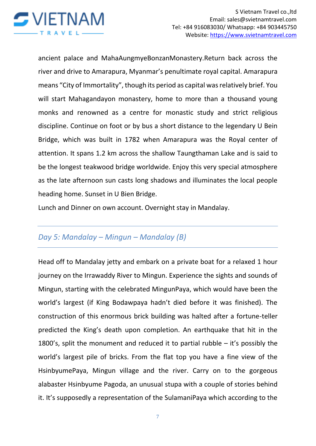

ancient palace and MahaAungmyeBonzanMonastery.Return back across the river and drive to Amarapura, Myanmar's penultimate royal capital. Amarapura means "City of Immortality", though its period as capital was relatively brief. You will start Mahagandayon monastery, home to more than a thousand young monks and renowned as a centre for monastic study and strict religious discipline. Continue on foot or by bus a short distance to the legendary U Bein Bridge, which was built in 1782 when Amarapura was the Royal center of attention. It spans 1.2 km across the shallow Taungthaman Lake and is said to be the longest teakwood bridge worldwide. Enjoy this very special atmosphere as the late afternoon sun casts long shadows and illuminates the local people heading home. Sunset in U Bien Bridge.

Lunch and Dinner on own account. Overnight stay in Mandalay.

# *Day 5: Mandalay – Mingun – Mandalay (B)*

Head off to Mandalay jetty and embark on a private boat for a relaxed 1 hour journey on the Irrawaddy River to Mingun. Experience the sights and sounds of Mingun, starting with the celebrated MingunPaya, which would have been the world's largest (if King Bodawpaya hadn't died before it was finished). The construction of this enormous brick building was halted after a fortune-teller predicted the King's death upon completion. An earthquake that hit in the 1800's, split the monument and reduced it to partial rubble – it's possibly the world's largest pile of bricks. From the flat top you have a fine view of the HsinbyumePaya, Mingun village and the river. Carry on to the gorgeous alabaster Hsinbyume Pagoda, an unusual stupa with a couple of stories behind it. It's supposedly a representation of the SulamaniPaya which according to the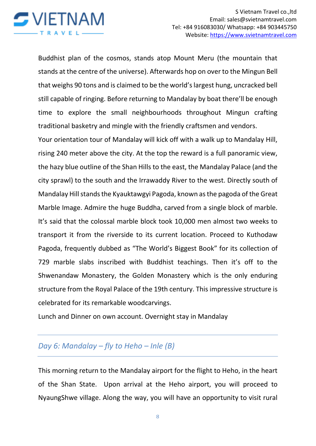

Buddhist plan of the cosmos, stands atop Mount Meru (the mountain that stands at the centre of the universe). Afterwards hop on over to the Mingun Bell that weighs 90 tons and is claimed to be the world's largest hung, uncracked bell still capable of ringing. Before returning to Mandalay by boat there'll be enough time to explore the small neighbourhoods throughout Mingun crafting traditional basketry and mingle with the friendly craftsmen and vendors.

Your orientation tour of Mandalay will kick off with a walk up to Mandalay Hill, rising 240 meter above the city. At the top the reward is a full panoramic view, the hazy blue outline of the Shan Hills to the east, the Mandalay Palace (and the city sprawl) to the south and the Irrawaddy River to the west. Directly south of Mandalay Hill stands the Kyauktawgyi Pagoda, known as the pagoda of the Great Marble Image. Admire the huge Buddha, carved from a single block of marble. It's said that the colossal marble block took 10,000 men almost two weeks to transport it from the riverside to its current location. Proceed to Kuthodaw Pagoda, frequently dubbed as "The World's Biggest Book" for its collection of 729 marble slabs inscribed with Buddhist teachings. Then it's off to the Shwenandaw Monastery, the Golden Monastery which is the only enduring structure from the Royal Palace of the 19th century. This impressive structure is celebrated for its remarkable woodcarvings.

Lunch and Dinner on own account. Overnight stay in Mandalay

# *Day 6: Mandalay – fly to Heho – Inle (B)*

This morning return to the Mandalay airport for the flight to Heho, in the heart of the Shan State. Upon arrival at the Heho airport, you will proceed to NyaungShwe village. Along the way, you will have an opportunity to visit rural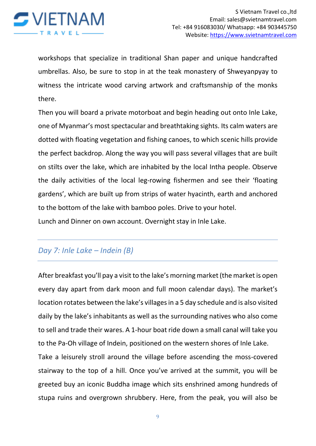

workshops that specialize in traditional Shan paper and unique handcrafted umbrellas. Also, be sure to stop in at the teak monastery of Shweyanpyay to witness the intricate wood carving artwork and craftsmanship of the monks there.

Then you will board a private motorboat and begin heading out onto Inle Lake, one of Myanmar's most spectacular and breathtaking sights. Its calm waters are dotted with floating vegetation and fishing canoes, to which scenic hills provide the perfect backdrop. Along the way you will pass several villages that are built on stilts over the lake, which are inhabited by the local Intha people. Observe the daily activities of the local leg-rowing fishermen and see their 'floating gardens', which are built up from strips of water hyacinth, earth and anchored to the bottom of the lake with bamboo poles. Drive to your hotel.

Lunch and Dinner on own account. Overnight stay in Inle Lake.

# *Day 7: Inle Lake – Indein (B)*

After breakfast you'll pay a visit to the lake's morning market (the market is open every day apart from dark moon and full moon calendar days). The market's location rotates between the lake's villages in a 5 day schedule and is also visited daily by the lake's inhabitants as well as the surrounding natives who also come to sell and trade their wares. A 1-hour boat ride down a small canal will take you to the Pa-Oh village of Indein, positioned on the western shores of Inle Lake.

Take a leisurely stroll around the village before ascending the moss-covered stairway to the top of a hill. Once you've arrived at the summit, you will be greeted buy an iconic Buddha image which sits enshrined among hundreds of stupa ruins and overgrown shrubbery. Here, from the peak, you will also be